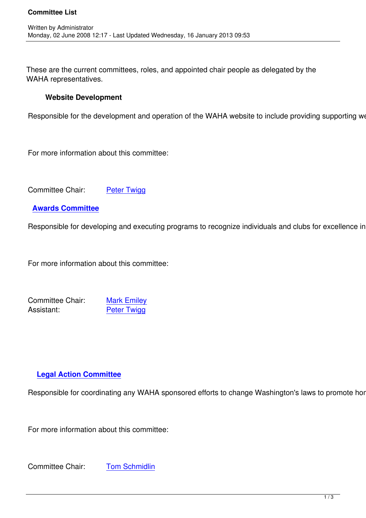These are the current committees, roles, and appointed chair people as delegated by the WAHA representatives.

## **Website Development**

Written by Administrator and Administrator and Administrator and Administrator and Administrator and Administrator and Administrator and Administrator and Administrator and Administrator and Administrator and Administrator

Responsible for the development and operation of the WAHA website to include providing supporting web development for

For more information about this committee:

Committee Chair: Peter Twigg

### **Awards Committee**

Responsible for develo[ping and exec](index.php?option=com_contact&task=view&contact_id=29&Itemid=)uting programs to recognize individuals and clubs for excellence in home

For more information about this committee:

Committee Chair: Mark Emiley Assistant: Peter Twigg

# **Legal Action Committee**

Responsible for coordinating any WAHA sponsored efforts to change Washington's laws to promote homet

For more information about this committee:

Committee Chair: Tom Schmidlin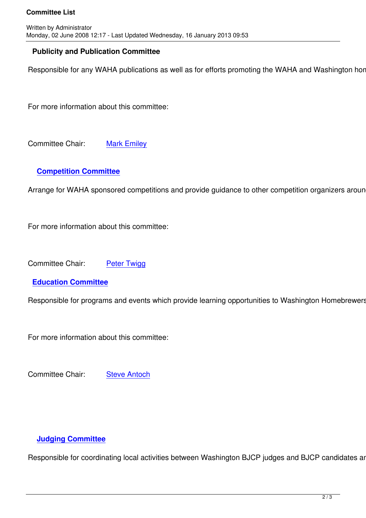### **Publicity and Publication Committee**

Responsible for any WAHA publications as well as for efforts promoting the WAHA and Washington homebrewing. The Web Development Committee as needed for any WAHA publications as well as for efforts promoting the WAHA and Wa

For more information about this committee:

Committee Chair: Mark Emiley

## **Competition Comm[ittee](index.php?option=com_contact&task=view&contact_id=26&Itemid=)**

Arrange for WAHA sponsored competitions and provide guidance to other competition organizers around V

For more information about this committee:

Committee Chair: Peter Twigg

**Education Committee**

Responsible for progra[ms and event](index.php?option=com_contact&task=view&contact_id=25&Itemid=)s which provide learning opportunities to Washington Homebrewers. T

For more information about this committee:

Committee Chair: Steve Antoch

### **Judging Committee**

Responsible for coordinating local activities between Washington BJCP judges and BJCP candidates and represent